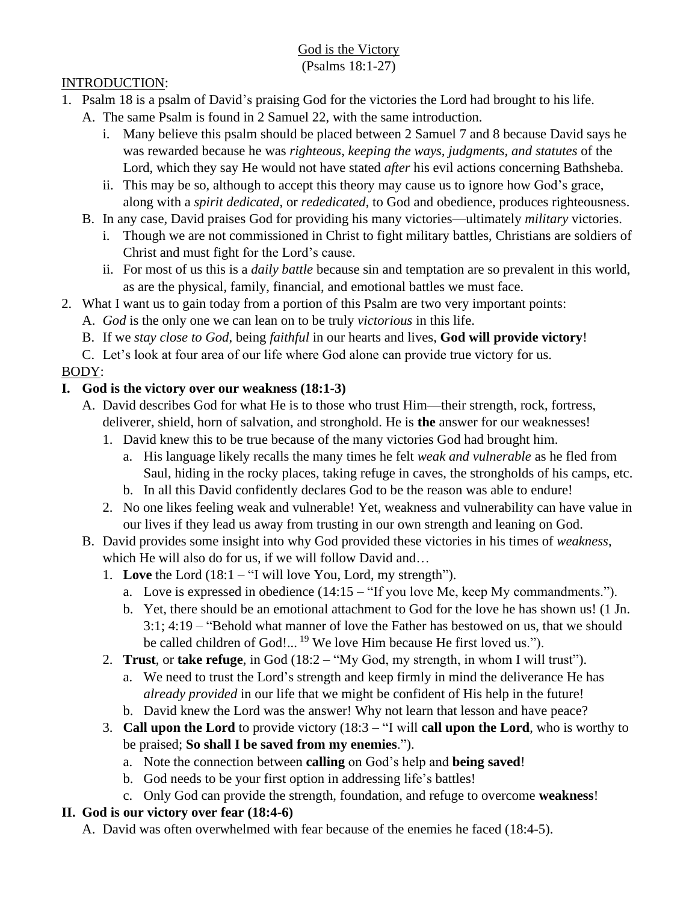#### God is the Victory (Psalms 18:1-27)

#### INTRODUCTION:

- 1. Psalm 18 is a psalm of David's praising God for the victories the Lord had brought to his life.
	- A. The same Psalm is found in 2 Samuel 22, with the same introduction.
		- i. Many believe this psalm should be placed between 2 Samuel 7 and 8 because David says he was rewarded because he was *righteous*, *keeping the ways, judgments, and statutes* of the Lord, which they say He would not have stated *after* his evil actions concerning Bathsheba.
		- ii. This may be so, although to accept this theory may cause us to ignore how God's grace, along with a *spirit dedicated*, or *rededicated*, to God and obedience, produces righteousness.
	- B. In any case, David praises God for providing his many victories—ultimately *military* victories.
		- i. Though we are not commissioned in Christ to fight military battles, Christians are soldiers of Christ and must fight for the Lord's cause.
		- ii. For most of us this is a *daily battle* because sin and temptation are so prevalent in this world, as are the physical, family, financial, and emotional battles we must face.
- 2. What I want us to gain today from a portion of this Psalm are two very important points:
	- A. *God* is the only one we can lean on to be truly *victorious* in this life.
	- B. If we *stay close to God*, being *faithful* in our hearts and lives, **God will provide victory**!
	- C. Let's look at four area of our life where God alone can provide true victory for us.

# BODY:

# **I. God is the victory over our weakness (18:1-3)**

- A. David describes God for what He is to those who trust Him—their strength, rock, fortress, deliverer, shield, horn of salvation, and stronghold. He is **the** answer for our weaknesses!
	- 1. David knew this to be true because of the many victories God had brought him.
		- a. His language likely recalls the many times he felt *weak and vulnerable* as he fled from Saul, hiding in the rocky places, taking refuge in caves, the strongholds of his camps, etc.
		- b. In all this David confidently declares God to be the reason was able to endure!
	- 2. No one likes feeling weak and vulnerable! Yet, weakness and vulnerability can have value in our lives if they lead us away from trusting in our own strength and leaning on God.
- B. David provides some insight into why God provided these victories in his times of *weakness*, which He will also do for us, if we will follow David and…
	- 1. **Love** the Lord (18:1 "I will love You, Lord, my strength").
		- a. Love is expressed in obedience (14:15 "If you love Me, keep My commandments.").
		- b. Yet, there should be an emotional attachment to God for the love he has shown us! (1 Jn. 3:1; 4:19 – "Behold what manner of love the Father has bestowed on us, that we should be called children of God!...<sup>19</sup> We love Him because He first loved us.").
	- 2. **Trust**, or **take refuge**, in God (18:2 "My God, my strength, in whom I will trust").
		- a. We need to trust the Lord's strength and keep firmly in mind the deliverance He has *already provided* in our life that we might be confident of His help in the future!
		- b. David knew the Lord was the answer! Why not learn that lesson and have peace?
	- 3. **Call upon the Lord** to provide victory (18:3 "I will **call upon the Lord**, who is worthy to be praised; **So shall I be saved from my enemies**.").
		- a. Note the connection between **calling** on God's help and **being saved**!
		- b. God needs to be your first option in addressing life's battles!
		- c. Only God can provide the strength, foundation, and refuge to overcome **weakness**!

# **II. God is our victory over fear (18:4-6)**

A. David was often overwhelmed with fear because of the enemies he faced (18:4-5).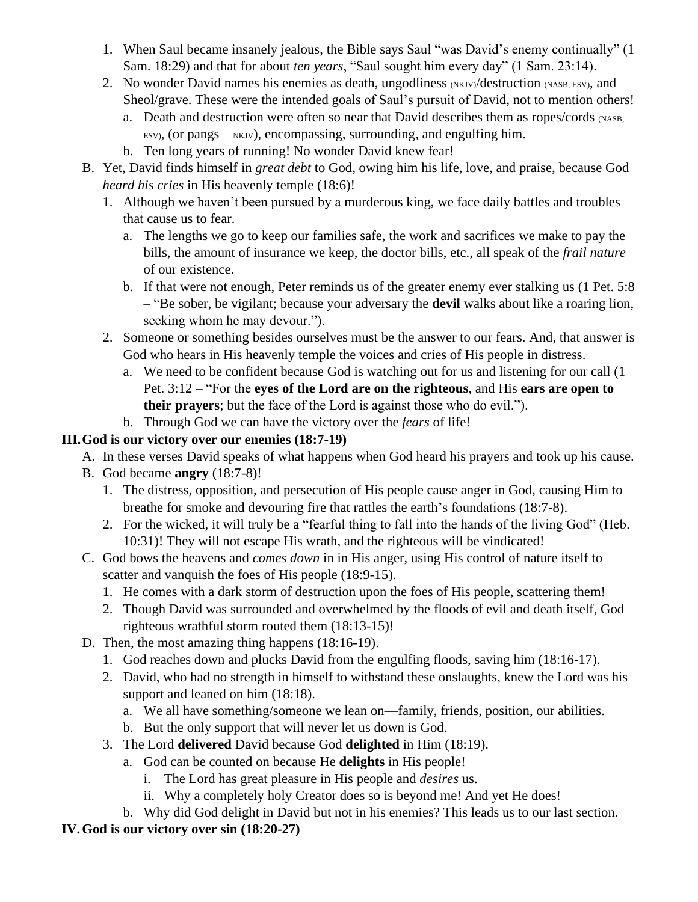- 1. When Saul became insanely jealous, the Bible says Saul "was David's enemy continually" (1 Sam. 18:29) and that for about *ten years*, "Saul sought him every day" (1 Sam. 23:14).
- 2. No wonder David names his enemies as death, ungodliness  $(NKJ/V)$  destruction  $(NASB, ESV)$ , and Sheol/grave. These were the intended goals of Saul's pursuit of David, not to mention others!
	- a. Death and destruction were often so near that David describes them as ropes/cords (NASB,  $E$ ESV), (or pangs – NKJV), encompassing, surrounding, and engulfing him.
	- b. Ten long years of running! No wonder David knew fear!
- B. Yet, David finds himself in *great debt* to God, owing him his life, love, and praise, because God *heard his cries* in His heavenly temple (18:6)!
	- 1. Although we haven't been pursued by a murderous king, we face daily battles and troubles that cause us to fear.
		- a. The lengths we go to keep our families safe, the work and sacrifices we make to pay the bills, the amount of insurance we keep, the doctor bills, etc., all speak of the *frail nature* of our existence.
		- b. If that were not enough, Peter reminds us of the greater enemy ever stalking us (1 Pet. 5:8 – "Be sober, be vigilant; because your adversary the **devil** walks about like a roaring lion, seeking whom he may devour.").
	- 2. Someone or something besides ourselves must be the answer to our fears. And, that answer is God who hears in His heavenly temple the voices and cries of His people in distress.
		- a. We need to be confident because God is watching out for us and listening for our call (1 Pet. 3:12 – "For the **eyes of the Lord are on the righteous**, and His **ears are open to their prayers**; but the face of the Lord is against those who do evil.").
		- b. Through God we can have the victory over the *fears* of life!

#### **III.God is our victory over our enemies (18:7-19)**

- A. In these verses David speaks of what happens when God heard his prayers and took up his cause.
- B. God became **angry** (18:7-8)!
	- 1. The distress, opposition, and persecution of His people cause anger in God, causing Him to breathe for smoke and devouring fire that rattles the earth's foundations (18:7-8).
	- 2. For the wicked, it will truly be a "fearful thing to fall into the hands of the living God" (Heb. 10:31)! They will not escape His wrath, and the righteous will be vindicated!
- C. God bows the heavens and *comes down* in in His anger, using His control of nature itself to scatter and vanquish the foes of His people (18:9-15).
	- 1. He comes with a dark storm of destruction upon the foes of His people, scattering them!
	- 2. Though David was surrounded and overwhelmed by the floods of evil and death itself, God righteous wrathful storm routed them (18:13-15)!
- D. Then, the most amazing thing happens (18:16-19).
	- 1. God reaches down and plucks David from the engulfing floods, saving him (18:16-17).
	- 2. David, who had no strength in himself to withstand these onslaughts, knew the Lord was his support and leaned on him (18:18).
		- a. We all have something/someone we lean on—family, friends, position, our abilities.
		- b. But the only support that will never let us down is God.
	- 3. The Lord **delivered** David because God **delighted** in Him (18:19).
		- a. God can be counted on because He **delights** in His people!
			- i. The Lord has great pleasure in His people and *desires* us.
			- ii. Why a completely holy Creator does so is beyond me! And yet He does!
		- b. Why did God delight in David but not in his enemies? This leads us to our last section.

# **IV.God is our victory over sin (18:20-27)**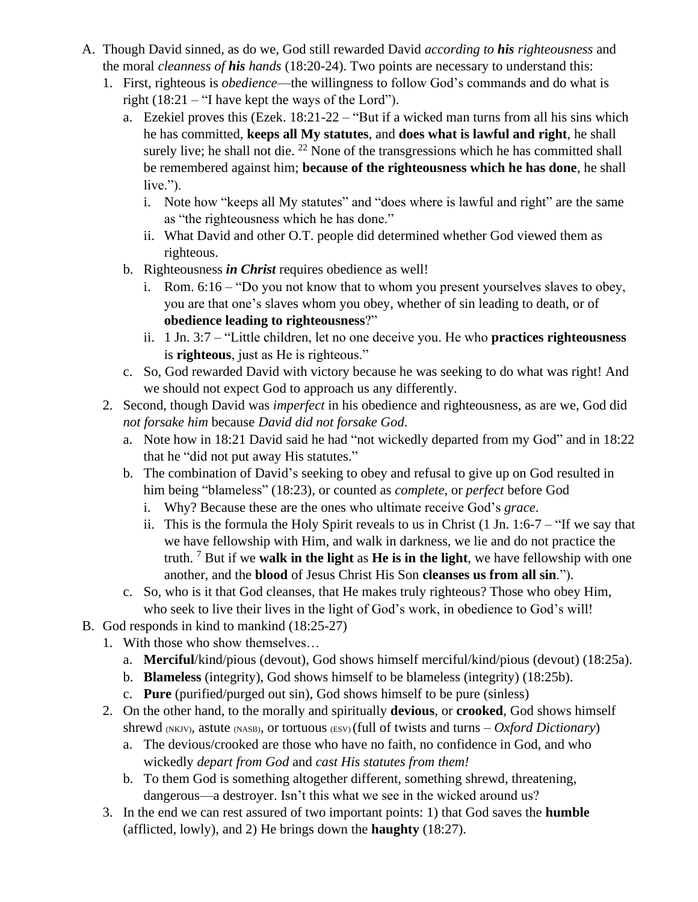- A. Though David sinned, as do we, God still rewarded David *according to his righteousness* and the moral *cleanness of his hands* (18:20-24). Two points are necessary to understand this:
	- 1. First, righteous is *obedience*—the willingness to follow God's commands and do what is right  $(18:21 - "I)$  have kept the ways of the Lord").
		- a. Ezekiel proves this (Ezek. 18:21-22 "But if a wicked man turns from all his sins which he has committed, **keeps all My statutes**, and **does what is lawful and right**, he shall surely live; he shall not die.  $^{22}$  None of the transgressions which he has committed shall be remembered against him; **because of the righteousness which he has done**, he shall  $live.'$ ).
			- i. Note how "keeps all My statutes" and "does where is lawful and right" are the same as "the righteousness which he has done."
			- ii. What David and other O.T. people did determined whether God viewed them as righteous.
		- b. Righteousness *in Christ* requires obedience as well!
			- i. Rom. 6:16 "Do you not know that to whom you present yourselves slaves to obey, you are that one's slaves whom you obey, whether of sin leading to death, or of **obedience leading to righteousness**?"
			- ii. 1 Jn. 3:7 "Little children, let no one deceive you. He who **practices righteousness** is **righteous**, just as He is righteous."
		- c. So, God rewarded David with victory because he was seeking to do what was right! And we should not expect God to approach us any differently.
	- 2. Second, though David was *imperfect* in his obedience and righteousness, as are we, God did *not forsake him* because *David did not forsake God*.
		- a. Note how in 18:21 David said he had "not wickedly departed from my God" and in 18:22 that he "did not put away His statutes."
		- b. The combination of David's seeking to obey and refusal to give up on God resulted in him being "blameless" (18:23), or counted as *complete*, or *perfect* before God
			- i. Why? Because these are the ones who ultimate receive God's *grace*.
			- ii. This is the formula the Holy Spirit reveals to us in Christ (1 Jn. 1:6-7 "If we say that we have fellowship with Him, and walk in darkness, we lie and do not practice the truth. <sup>7</sup> But if we **walk in the light** as **He is in the light**, we have fellowship with one another, and the **blood** of Jesus Christ His Son **cleanses us from all sin**.").
		- c. So, who is it that God cleanses, that He makes truly righteous? Those who obey Him, who seek to live their lives in the light of God's work, in obedience to God's will!
- B. God responds in kind to mankind (18:25-27)
	- 1. With those who show themselves…
		- a. **Merciful**/kind/pious (devout), God shows himself merciful/kind/pious (devout) (18:25a).
		- b. **Blameless** (integrity), God shows himself to be blameless (integrity) (18:25b).
		- c. **Pure** (purified/purged out sin), God shows himself to be pure (sinless)
	- 2. On the other hand, to the morally and spiritually **devious**, or **crooked**, God shows himself shrewd (NKJV), astute (NASB), or tortuous (ESV) (full of twists and turns – *Oxford Dictionary*)
		- a. The devious/crooked are those who have no faith, no confidence in God, and who wickedly *depart from God* and *cast His statutes from them!*
		- b. To them God is something altogether different, something shrewd, threatening, dangerous—a destroyer. Isn't this what we see in the wicked around us?
	- 3. In the end we can rest assured of two important points: 1) that God saves the **humble** (afflicted, lowly), and 2) He brings down the **haughty** (18:27).